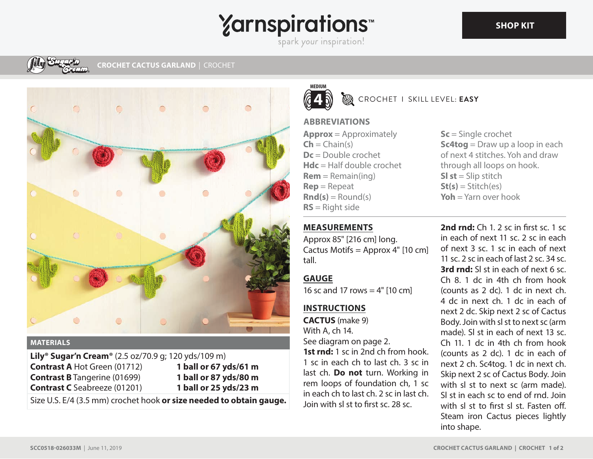# **Yarnspirations**

spark your inspiration!





#### **MATERIALS**

**Lily® Sugar'n Cream®** (2.5 oz/70.9 g; 120 yds/109 m) **Contrast A** Hot Green (01712) **Contrast B** Tangerine (01699) **Contrast C** Seabreeze (01201) **1 ball or 67 yds/61 m 1 ball or 87 yds/80 m 1 ball or 25 yds/23 m**

Size U.S. E/4 (3.5 mm) crochet hook **or size needed to obtain gauge.**



ØA CROCHET I SKILL LEVEL: **EASY**

#### **ABBREVIATIONS**

**Approx** = Approximately  $Ch = Chain(s)$ **Dc** = Double crochet **Hdc** = Half double crochet **Rem** = Remain(ing) **Rep** = Repeat  $\text{Rnd}(s) =$  Round(s) **RS** = Right side

**Sc** = Single crochet **Sc4tog** = Draw up a loop in each of next 4 stitches. Yoh and draw through all loops on hook. **Sl st** = Slip stitch **St(s)** = Stitch(es) **Yoh** = Yarn over hook

## **MEASUREMENTS**

Approx 85" [216 cm] long. Cactus Motifs = Approx 4" [10 cm] tall.

## **GAUGE**

16 sc and 17 rows  $=$  4" [10 cm]

## **INSTRUCTIONS**

**CACTUS** (make 9) With A, ch 14. See diagram on page 2. **1st rnd:** 1 sc in 2nd ch from hook. 1 sc in each ch to last ch. 3 sc in last ch. **Do not** turn. Working in rem loops of foundation ch, 1 sc in each ch to last ch. 2 sc in last ch. Join with sl st to first sc. 28 sc.

**2nd rnd:** Ch 1, 2 sc in first sc, 1 sc in each of next 11 sc. 2 sc in each of next 3 sc. 1 sc in each of next 11 sc. 2 sc in each of last 2 sc. 34 sc. **3rd rnd:** SI st in each of next 6 sc. Ch 8. 1 dc in 4th ch from hook (counts as 2 dc). 1 dc in next ch. 4 dc in next ch. 1 dc in each of next 2 dc. Skip next 2 sc of Cactus Body. Join with sl st to next sc (arm made). Sl st in each of next 13 sc. Ch 11. 1 dc in 4th ch from hook (counts as 2 dc). 1 dc in each of next 2 ch. Sc4tog. 1 dc in next ch. Skip next 2 sc of Cactus Body. Join with sl st to next sc (arm made). Sl st in each sc to end of rnd. Join with sl st to first sl st. Fasten off. Steam iron Cactus pieces lightly into shape.